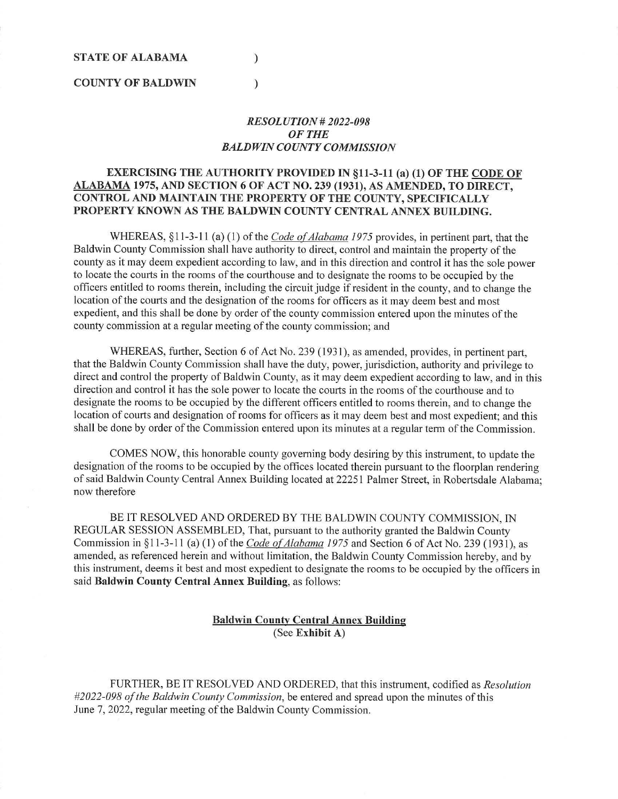### **STATE OF ALABAMA**

### **COUNTY OF BALDWIN**

# *RESOLUTION# 2022-098 OFTHE BALDWIN COUNTY COMMISSION*

# **EXERCISING THE AUTHORITY PROVIDED** IN **§11-3-11 (a) (1) OF THE CODE OF ALABAMA 1975, AND SECTION 6 OF ACT NO. 239 (1931), AS AMENDED, TO DIRECT, CONTROL AND MAINTAIN THE PROPERTY OF THE COUNTY, SPECIFICALLY PROPERTY KNOWN AS THE BALDWIN COUNTY CENTRAL ANNEX BUILDING.**

 $\mathcal{L}$ 

 $\mathcal{L}$ 

WHEREAS, §11-3-11 (a) (1) of the *Code of Alabama 1975* provides, in pertinent part, that the Baldwin County Commission shall have authority to direct, control and maintain the property of the county as it may deem expedient according to law, and in this direction and control it has the sole power to locate the courts in the rooms of the courthouse and to designate the rooms to be occupied by the officers entitled to rooms therein, including the circuit judge if resident in the county, and to change the location of the courts and the designation of the rooms for officers as it may deem best and most expedient, and this shall be done by order of the county commission entered upon the minutes of the county commission at a regular meeting of the county commission; and

WHEREAS, further, Section 6 of Act No. 239 (1931), as amended, provides, in pertinent part, that the Baldwin County Commission shall have the duty, power, jurisdiction, authority and privilege to direct and control the property of Baldwin County, as it may deem expedient according to law, and in this direction and control it has the sole power to locate the courts in the rooms of the courthouse and to designate the rooms to be occupied by the different officers entitled to rooms therein, and to change the location of courts and designation of rooms for officers as it may deem best and most expedient; and this shall be done by order of the Commission entered upon its minutes at a regular term of the Commission.

COMES NOW, this honorable county governing body desiring by this instrument, to update the designation of the rooms to be occupied by the offices located therein pursuant to the floorplan rendering of said Baldwin County Central Annex Building located at 22251 Palmer Street, in Robertsdale Alabama; now therefore

BE IT RESOLVED AND ORDERED BY THE BALDWIN COUNTY COMMISSION, IN REGULAR SESSION ASSEMBLED, That, pursuant to the authority granted the Baldwin County Commission in §11-3-11 (a) (1) of the *Code o{Alabama 1975* and Section 6 of Act No. 239 (193 1), as amended, as referenced herein and without limitation, the Baldwin County Commission hereby, and by this instrument, deems it best and most expedient to designate the rooms to be occupied by the officers in said **Baldwin County Central Annex Building,** as follows:

## **Baldwin County Central Annex Building**  (See **Exhibit A)**

FURTHER, BE IT RESOLVED AND ORDERED, that this instrument, codified as *Resolution #2022-098 of the Baldwin County Commission,* be entered and spread upon the minutes of this June 7, 2022, regular meeting of the Baldwin County Commission.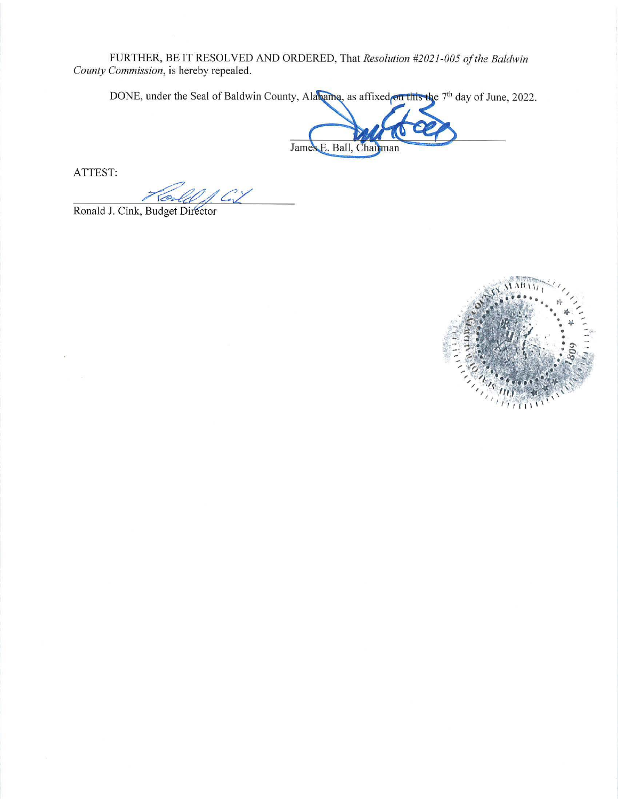FURTHER, BE IT RESOLVED AND ORDERED, That Resolution #2021-005 of the Baldwin County Commission, is hereby repealed.

DONE, under the Seal of Baldwin County, Alabama, as affixed on this the 7<sup>th</sup> day of June, 2022.

James E. Ball, Chairman

ATTEST:

Ronald J. Cink, Budget Director